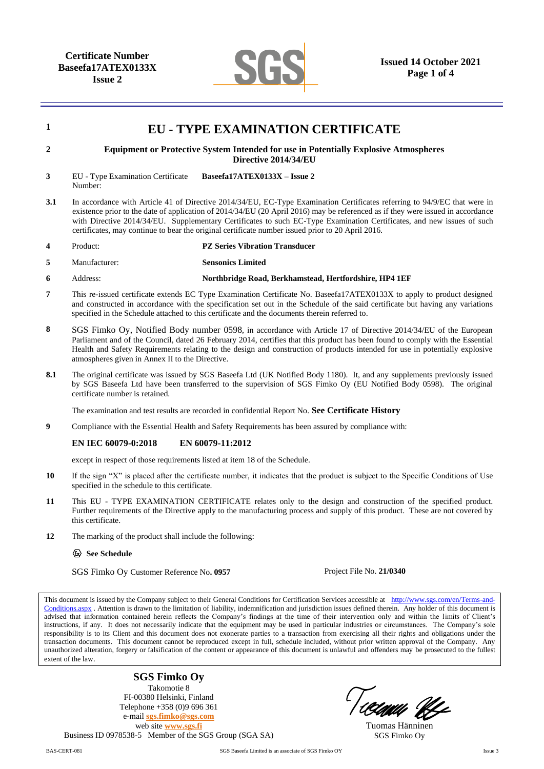

| $\mathbf{1}$   | <b>EU - TYPE EXAMINATION CERTIFICATE</b>                                                                                                                                                                                                                                                                                                                                                                                                                                                    |                                                        |                          |  |  |  |  |
|----------------|---------------------------------------------------------------------------------------------------------------------------------------------------------------------------------------------------------------------------------------------------------------------------------------------------------------------------------------------------------------------------------------------------------------------------------------------------------------------------------------------|--------------------------------------------------------|--------------------------|--|--|--|--|
| $\overline{2}$ | Equipment or Protective System Intended for use in Potentially Explosive Atmospheres<br>Directive 2014/34/EU                                                                                                                                                                                                                                                                                                                                                                                |                                                        |                          |  |  |  |  |
| 3              | EU - Type Examination Certificate<br>Number:                                                                                                                                                                                                                                                                                                                                                                                                                                                | Baseefa17ATEX0133X - Issue 2                           |                          |  |  |  |  |
| 3.1            | In accordance with Article 41 of Directive 2014/34/EU, EC-Type Examination Certificates referring to 94/9/EC that were in<br>existence prior to the date of application of 2014/34/EU (20 April 2016) may be referenced as if they were issued in accordance<br>with Directive 2014/34/EU. Supplementary Certificates to such EC-Type Examination Certificates, and new issues of such<br>certificates, may continue to bear the original certificate number issued prior to 20 April 2016. |                                                        |                          |  |  |  |  |
| 4              | Product:                                                                                                                                                                                                                                                                                                                                                                                                                                                                                    | <b>PZ Series Vibration Transducer</b>                  |                          |  |  |  |  |
| 5              | Manufacturer:                                                                                                                                                                                                                                                                                                                                                                                                                                                                               | <b>Sensonics Limited</b>                               |                          |  |  |  |  |
| 6              | Address:                                                                                                                                                                                                                                                                                                                                                                                                                                                                                    | Northbridge Road, Berkhamstead, Hertfordshire, HP4 1EF |                          |  |  |  |  |
| 7              | This re-issued certificate extends EC Type Examination Certificate No. Baseefa17ATEX0133X to apply to product designed<br>and constructed in accordance with the specification set out in the Schedule of the said certificate but having any variations<br>specified in the Schedule attached to this certificate and the documents therein referred to.                                                                                                                                   |                                                        |                          |  |  |  |  |
| 8              | SGS Fimko Oy, Notified Body number 0598, in accordance with Article 17 of Directive 2014/34/EU of the European<br>Parliament and of the Council, dated 26 February 2014, certifies that this product has been found to comply with the Essential<br>Health and Safety Requirements relating to the design and construction of products intended for use in potentially explosive<br>atmospheres given in Annex II to the Directive.                                                         |                                                        |                          |  |  |  |  |
| 8.1            | The original certificate was issued by SGS Baseefa Ltd (UK Notified Body 1180). It, and any supplements previously issued<br>by SGS Baseefa Ltd have been transferred to the supervision of SGS Fimko Oy (EU Notified Body 0598). The original<br>certificate number is retained.                                                                                                                                                                                                           |                                                        |                          |  |  |  |  |
|                | The examination and test results are recorded in confidential Report No. See Certificate History                                                                                                                                                                                                                                                                                                                                                                                            |                                                        |                          |  |  |  |  |
| 9              | Compliance with the Essential Health and Safety Requirements has been assured by compliance with:                                                                                                                                                                                                                                                                                                                                                                                           |                                                        |                          |  |  |  |  |
|                | <b>EN IEC 60079-0:2018</b>                                                                                                                                                                                                                                                                                                                                                                                                                                                                  | EN 60079-11:2012                                       |                          |  |  |  |  |
|                | except in respect of those requirements listed at item 18 of the Schedule.                                                                                                                                                                                                                                                                                                                                                                                                                  |                                                        |                          |  |  |  |  |
| 10             | If the sign "X" is placed after the certificate number, it indicates that the product is subject to the Specific Conditions of Use<br>specified in the schedule to this certificate.                                                                                                                                                                                                                                                                                                        |                                                        |                          |  |  |  |  |
| 11             | This EU - TYPE EXAMINATION CERTIFICATE relates only to the design and construction of the specified product.<br>Further requirements of the Directive apply to the manufacturing process and supply of this product. These are not covered by<br>this certificate.                                                                                                                                                                                                                          |                                                        |                          |  |  |  |  |
| 12             | The marking of the product shall include the following:                                                                                                                                                                                                                                                                                                                                                                                                                                     |                                                        |                          |  |  |  |  |
|                | <b>Ex</b> See Schedule                                                                                                                                                                                                                                                                                                                                                                                                                                                                      |                                                        |                          |  |  |  |  |
|                | SGS Fimko Oy Customer Reference No. 0957                                                                                                                                                                                                                                                                                                                                                                                                                                                    |                                                        | Project File No. 21/0340 |  |  |  |  |

This document is issued by the Company subject to their General Conditions for Certification Services accessible at [http://www.sgs.com/en/Terms-and-](http://www.sgs.com/en/Terms-and-Conditions.aspx)[Conditions.aspx](http://www.sgs.com/en/Terms-and-Conditions.aspx) . Attention is drawn to the limitation of liability, indemnification and jurisdiction issues defined therein. Any holder of this document is advised that information contained herein reflects the Company's findings at the time of their intervention only and within the limits of Client's instructions, if any. It does not necessarily indicate that the equipment may be used in particular industries or circumstances. The Company's sole responsibility is to its Client and this document does not exonerate parties to a transaction from exercising all their rights and obligations under the transaction documents. This document cannot be reproduced except in full, schedule included, without prior written approval of the Company. Any unauthorized alteration, forgery or falsification of the content or appearance of this document is unlawful and offenders may be prosecuted to the fullest extent of the law.

**SGS Fimko Oy** Takomotie 8 FI-00380 Helsinki, Finland Telephone +358 (0)9 696 361 e-mail **[sgs.fimko@sgs.com](mailto:sgs.fimko@sgs.com)** web site **[www.sgs.fi](http://www.sgs.fi/)** Business ID 0978538-5 Member of the SGS Group (SGA SA)

'CAWA UL

Tuomas Hänninen SGS Fimko Oy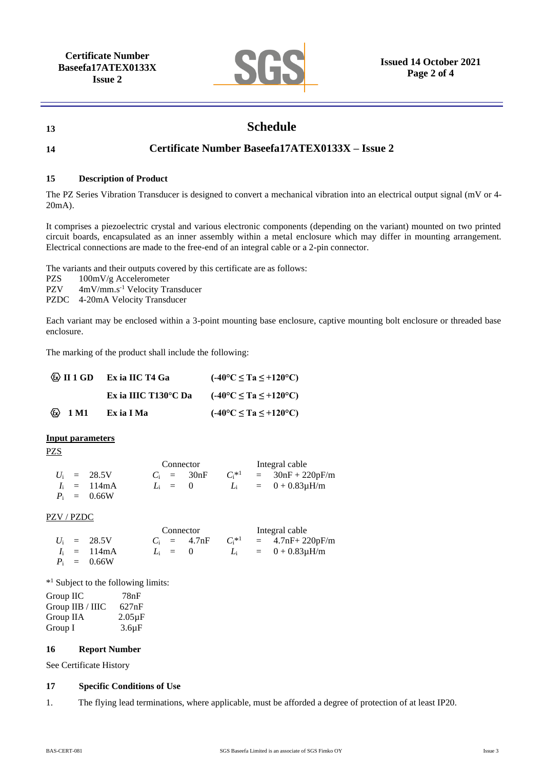

# **13 Schedule**

## **14 Certificate Number Baseefa17ATEX0133X – Issue 2**

#### **15 Description of Product**

The PZ Series Vibration Transducer is designed to convert a mechanical vibration into an electrical output signal (mV or 4- 20mA).

It comprises a piezoelectric crystal and various electronic components (depending on the variant) mounted on two printed circuit boards, encapsulated as an inner assembly within a metal enclosure which may differ in mounting arrangement. Electrical connections are made to the free-end of an integral cable or a 2-pin connector.

The variants and their outputs covered by this certificate are as follows:

PZS 100mV/g Accelerometer

PZV 4mV/mm.s<sup>-1</sup> Velocity Transducer

PZDC 4-20mA Velocity Transducer

Each variant may be enclosed within a 3-point mounting base enclosure, captive mounting bolt enclosure or threaded base enclosure.

The marking of the product shall include the following:

|                                                         | $\langle \mathbb{Q} \rangle$ II 1 GD Ex ia IIC T4 Ga | $(-40^{\circ}C \le Ta \le +120^{\circ}C)$ |  |  |
|---------------------------------------------------------|------------------------------------------------------|-------------------------------------------|--|--|
|                                                         | Ex ia IIIC T130 $\rm ^{\circ}$ C Da                  | $(-40^{\circ}C \le Ta \le +120^{\circ}C)$ |  |  |
| $\langle \overline{\mathbf{c}} \mathbf{c} \rangle$ 1 M1 | Ex ia I Ma                                           | $(-40^{\circ}C \le Ta \le +120^{\circ}C)$ |  |  |

#### **Input parameters**

PZS

|  |                        | Connector |              |  | Integral cable |                          |  |
|--|------------------------|-----------|--------------|--|----------------|--------------------------|--|
|  | $U_i = 28.5V$          |           | $C_i = 30nF$ |  |                | $C_i^*$ = 30nF + 220pF/m |  |
|  | $I_i = 114 \text{ mA}$ | $L_i = 0$ |              |  |                | $L_i = 0 + 0.83 \mu H/m$ |  |
|  | $P_i = 0.66W$          |           |              |  |                |                          |  |

PZV / PZDC

|  |                        | Connector |                |  | Integral cable |                                |  |
|--|------------------------|-----------|----------------|--|----------------|--------------------------------|--|
|  | $U_i = 28.5V$          |           | $C_i = 4.7$ nF |  |                | $C_i^*{}^{1}$ = 4.7nF+ 220pF/m |  |
|  | $I_i = 114 \text{ mA}$ |           | $L_i = 0$      |  |                | $L_i = 0 + 0.83 \mu H/m$       |  |
|  | $P_i = 0.66W$          |           |                |  |                |                                |  |

\* <sup>1</sup> Subject to the following limits:

Group IIC 78nF Group IIB / IIIC 627nF Group IIA 2.05µF Group I 3.6µF

#### **16 Report Number**

See Certificate History

## **17 Specific Conditions of Use**

1. The flying lead terminations, where applicable, must be afforded a degree of protection of at least IP20.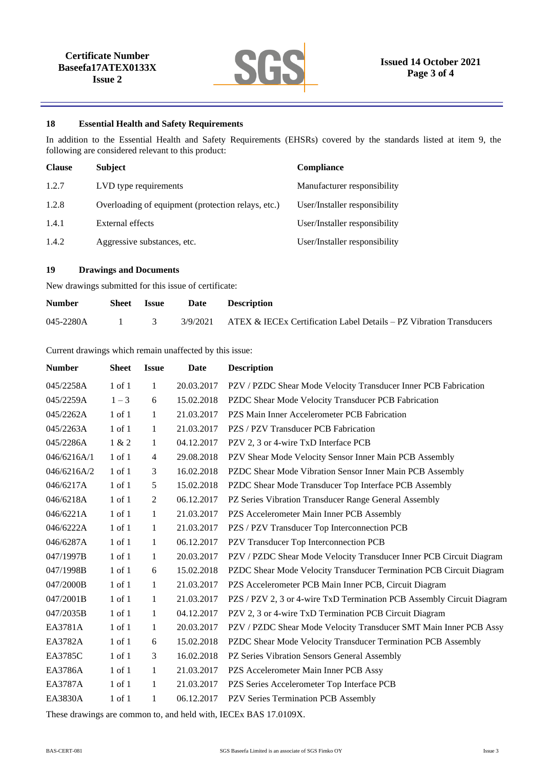

### **18 Essential Health and Safety Requirements**

In addition to the Essential Health and Safety Requirements (EHSRs) covered by the standards listed at item 9, the following are considered relevant to this product:

| <b>Clause</b> | <b>Subject</b>                                     | Compliance                    |
|---------------|----------------------------------------------------|-------------------------------|
| 1.2.7         | LVD type requirements                              | Manufacturer responsibility   |
| 1.2.8         | Overloading of equipment (protection relays, etc.) | User/Installer responsibility |
| 1.4.1         | External effects                                   | User/Installer responsibility |
| 1.4.2         | Aggressive substances, etc.                        | User/Installer responsibility |

## **19 Drawings and Documents**

New drawings submitted for this issue of certificate:

| <b>Number</b> | <b>Sheet</b> Issue | Date Description                                                                           |
|---------------|--------------------|--------------------------------------------------------------------------------------------|
|               |                    | 045-2280A 1 3 3/9/2021 ATEX & IECEx Certification Label Details – PZ Vibration Transducers |

#### Current drawings which remain unaffected by this issue:

| <b>Number</b> | <b>Sheet</b> | <b>Issue</b> | Date       | <b>Description</b>                                                    |
|---------------|--------------|--------------|------------|-----------------------------------------------------------------------|
| 045/2258A     | 1 of 1       | 1            | 20.03.2017 | PZV / PZDC Shear Mode Velocity Transducer Inner PCB Fabrication       |
| 045/2259A     | $1 - 3$      | 6            | 15.02.2018 | PZDC Shear Mode Velocity Transducer PCB Fabrication                   |
| 045/2262A     | 1 of 1       | $\mathbf{1}$ | 21.03.2017 | PZS Main Inner Accelerometer PCB Fabrication                          |
| 045/2263A     | $1$ of $1$   | 1            | 21.03.2017 | PZS / PZV Transducer PCB Fabrication                                  |
| 045/2286A     | 1 & 2        | 1            | 04.12.2017 | PZV 2, 3 or 4-wire TxD Interface PCB                                  |
| 046/6216A/1   | $1$ of $1$   | 4            | 29.08.2018 | PZV Shear Mode Velocity Sensor Inner Main PCB Assembly                |
| 046/6216A/2   | $1$ of $1$   | 3            | 16.02.2018 | PZDC Shear Mode Vibration Sensor Inner Main PCB Assembly              |
| 046/6217A     | $1$ of $1$   | 5            | 15.02.2018 | PZDC Shear Mode Transducer Top Interface PCB Assembly                 |
| 046/6218A     | $1$ of $1$   | 2            | 06.12.2017 | PZ Series Vibration Transducer Range General Assembly                 |
| 046/6221A     | $1$ of $1$   | 1            | 21.03.2017 | PZS Accelerometer Main Inner PCB Assembly                             |
| 046/6222A     | $1$ of $1$   | 1            | 21.03.2017 | PZS / PZV Transducer Top Interconnection PCB                          |
| 046/6287A     | 1 of 1       | 1            | 06.12.2017 | PZV Transducer Top Interconnection PCB                                |
| 047/1997B     | $1$ of $1$   | 1            | 20.03.2017 | PZV / PZDC Shear Mode Velocity Transducer Inner PCB Circuit Diagram   |
| 047/1998B     | $1$ of $1$   | 6            | 15.02.2018 | PZDC Shear Mode Velocity Transducer Termination PCB Circuit Diagram   |
| 047/2000B     | $1$ of $1$   | 1            | 21.03.2017 | PZS Accelerometer PCB Main Inner PCB, Circuit Diagram                 |
| 047/2001B     | $1$ of $1$   | 1            | 21.03.2017 | PZS / PZV 2, 3 or 4-wire TxD Termination PCB Assembly Circuit Diagram |
| 047/2035B     | $1$ of $1$   | 1            | 04.12.2017 | PZV 2, 3 or 4-wire TxD Termination PCB Circuit Diagram                |
| EA3781A       | $1$ of $1$   | 1            | 20.03.2017 | PZV / PZDC Shear Mode Velocity Transducer SMT Main Inner PCB Assy     |
| EA3782A       | $1$ of $1$   | 6            | 15.02.2018 | PZDC Shear Mode Velocity Transducer Termination PCB Assembly          |
| EA3785C       | 1 of 1       | 3            | 16.02.2018 | PZ Series Vibration Sensors General Assembly                          |
| EA3786A       | $1$ of $1$   | $\mathbf{1}$ | 21.03.2017 | PZS Accelerometer Main Inner PCB Assy                                 |
| EA3787A       | $1$ of $1$   | 1            | 21.03.2017 | PZS Series Accelerometer Top Interface PCB                            |
| EA3830A       | 1 of 1       | 1            | 06.12.2017 | PZV Series Termination PCB Assembly                                   |

These drawings are common to, and held with, IECEx BAS 17.0109X.